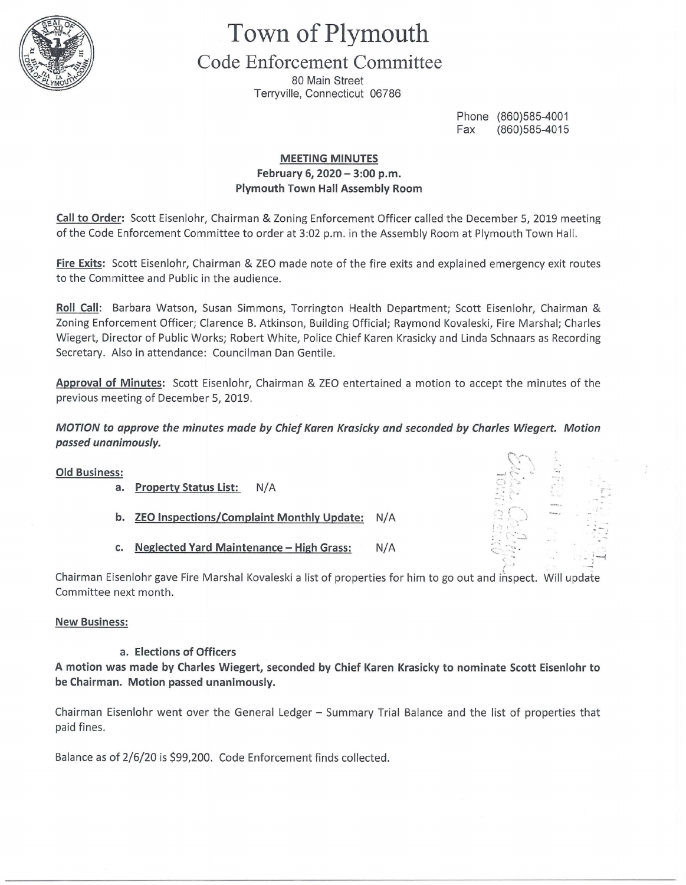

# **Town of Plymouth**

# **Code Enforcement Committee**

80 Main Street Terryville, Connecticut 06786

> Phone (860)585-4001 Fax (860)585-4015

## **MEETING MINUTES February 6, 2020 - 3:00 p.m. Plymouth Town Hall Assembly Room**

**Call to Order:** Scott Eisenlohr, Chairman & Zoning Enforcement Officer called the December 5, 2019 meeting of the Code Enforcement Committee to order at 3:02 p.m. in the Assembly Room at Plymouth Town Hall.

**Fire Exits:** Scott Eisenlohr, Chairman & ZEO made note of the fire exits and explained emergency exit routes to the Committee and Public in the audience.

**Roll Call:** Barbara Watson, Susan Simmons, Torrington Health Department; Scott Eisenlohr, Chairman & Zoning Enforcement Officer; Clarence B. Atkinson, Building Official; Raymond Kovaleski, Fire Marshal; Charles Wiegert, Director of Public Works; Robert White, Police Chief Karen Krasicky and Linda Schnaars as Recording Secretary. Also in attendance: Councilman Dan Gentile.

**Approval of Minutes:** Scott Eisenlohr, Chairman & ZEO entertained a motion to accept the minutes of the previous meeting of December 5, 2019.

## **MOTION to approve the minutes made by Chief Karen Krasicky and seconded by Charles Wiegert. Motion passed unanimously.**

| <b>Old Business:</b><br>a. | <b>Property Status List:</b><br>N/A              |     |                 |  |
|----------------------------|--------------------------------------------------|-----|-----------------|--|
| b.                         | <b>ZEO Inspections/Complaint Monthly Update:</b> | N/A | <b>Alliador</b> |  |
| $\mathsf{c}$ .             | <b>Neglected Yard Maintenance - High Grass:</b>  | N/A | $\mathcal{L}$   |  |
|                            |                                                  |     |                 |  |

Chairman Eisenlohr gave Fire Marshal Kovaleski a list of properties for him to go out and inspect. Will update Committee next month.

## **New Business:**

## **a. Elections of Officers**

**A motion was made by Charles Wiegert, seconded by Chief Karen Krasicky to nominate Scott Eisenlohr to be Chairman. Motion passed unanimously.** 

Chairman Eisenlohr went over the General Ledger - Summary Trial Balance and the list of properties that paid fines.

Balance as of 2/6/20 is \$99,200. Code Enforcement finds collected.